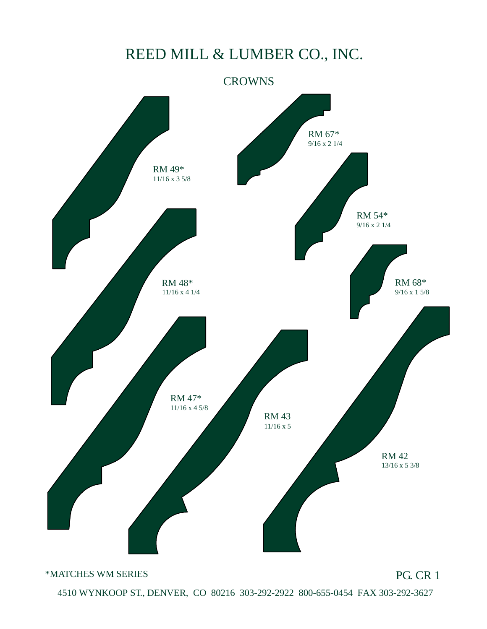

\*MATCHES WM SERIES

PG. CR 1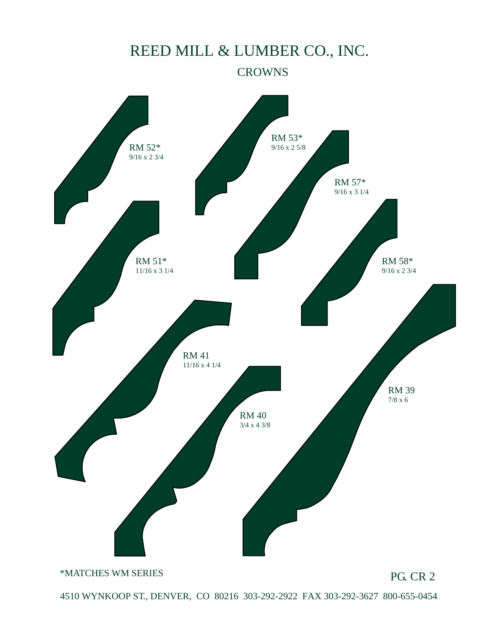#### **CROWNS**



\*MATCHES WM SERIES

PG. CR 2

4510 WYNKOOP ST., DENVER, CO 80216 303-292-2922 FAX 303-292-3627 800-655-0454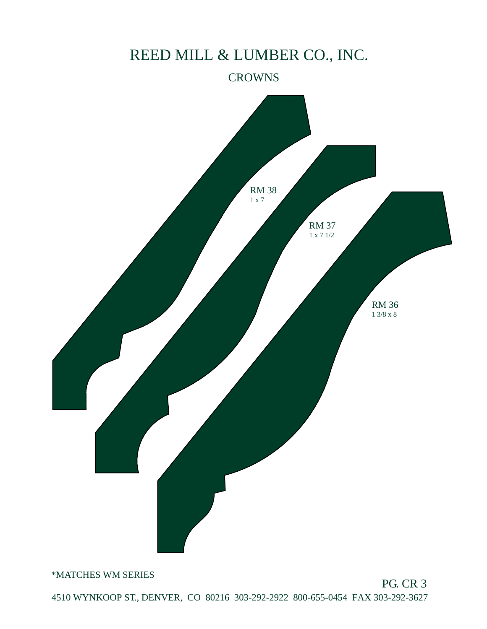#### **CROWNS**



\*MATCHES WM SERIES

PG. CR 3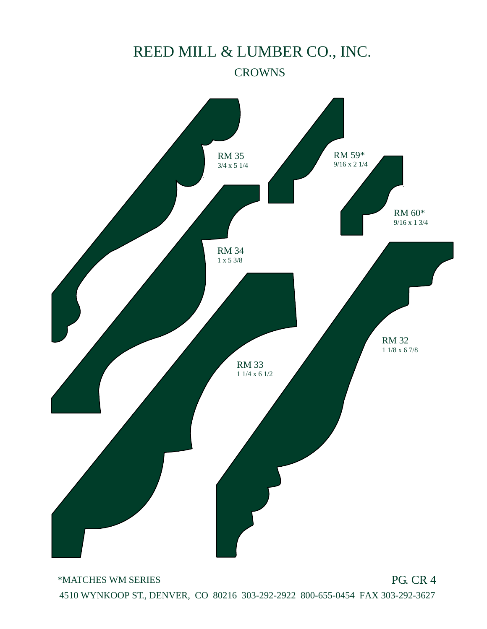

\*MATCHES WM SERIES

PG. CR 4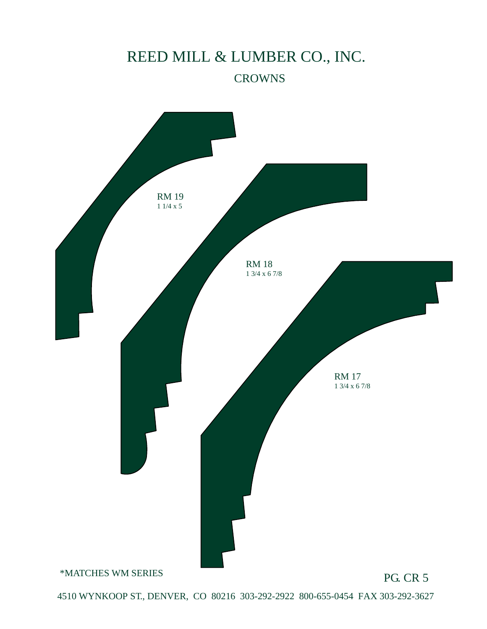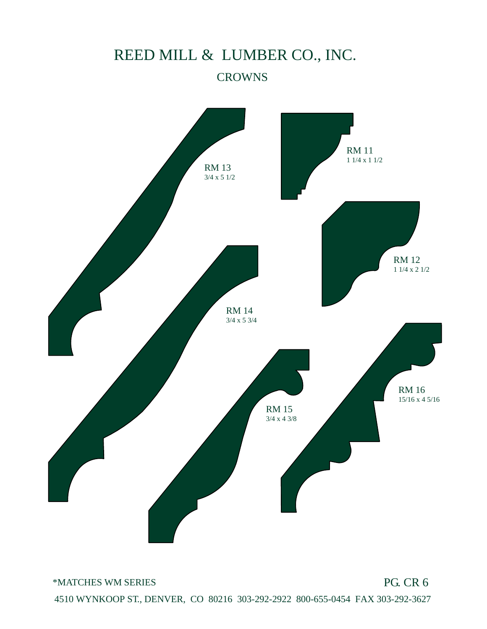

\*MATCHES WM SERIES

PG. CR 6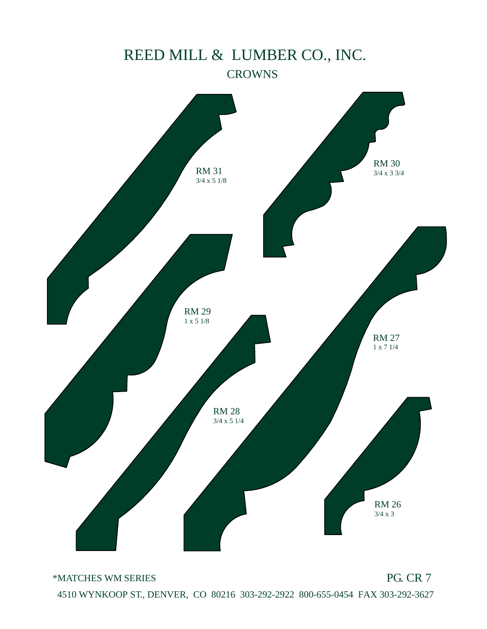

\*MATCHES WM SERIES

PG. CR 7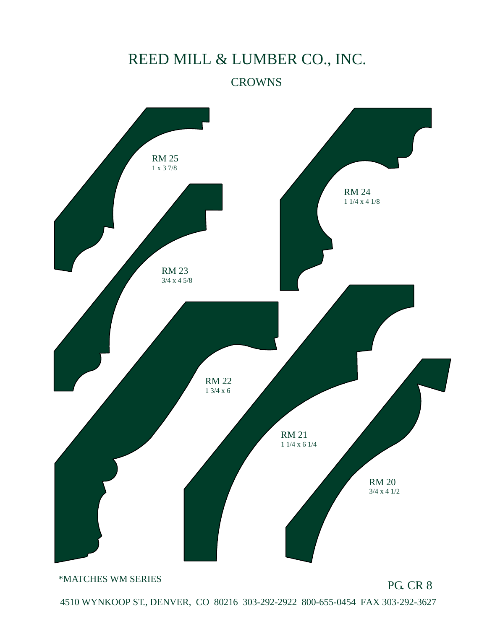#### **CROWNS**



\*MATCHES WM SERIES

PG. CR 8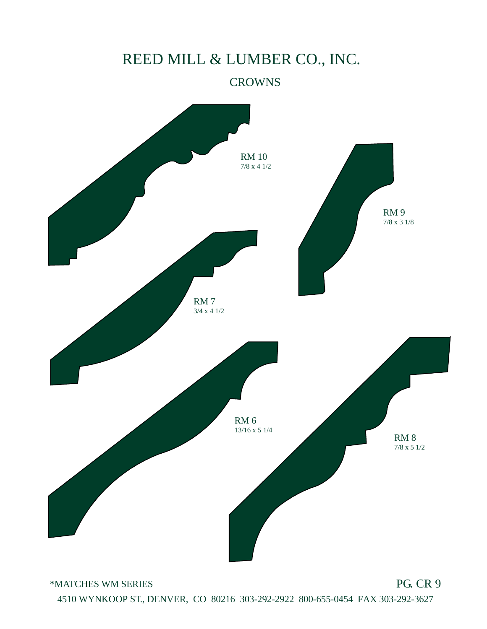#### **CROWNS**



\*MATCHES WM SERIES

PG. CR 9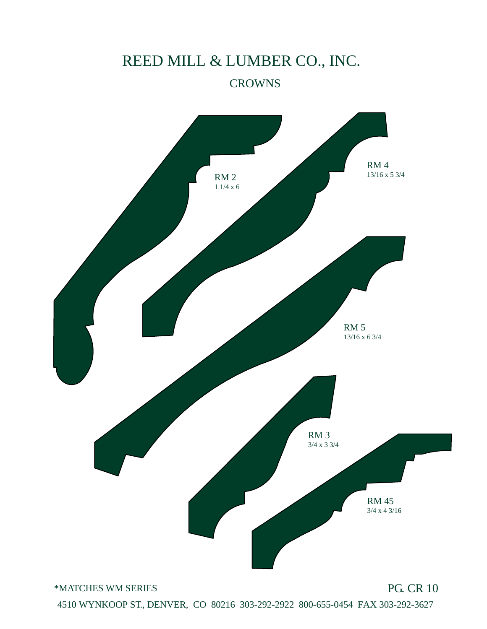

\*MATCHES WM SERIES

PG. CR 10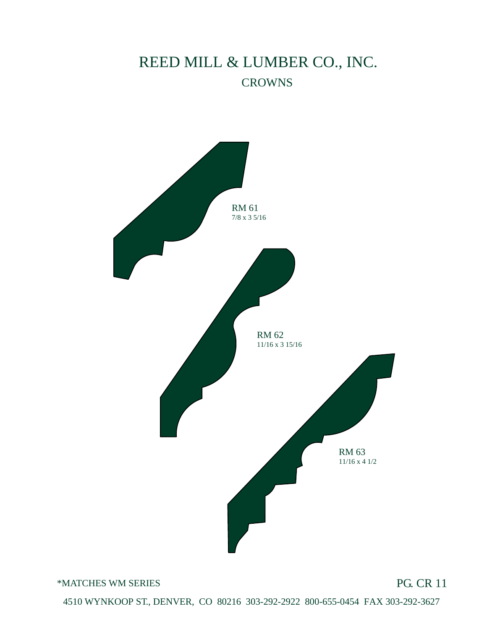

\*MATCHES WM SERIES

PG. CR 11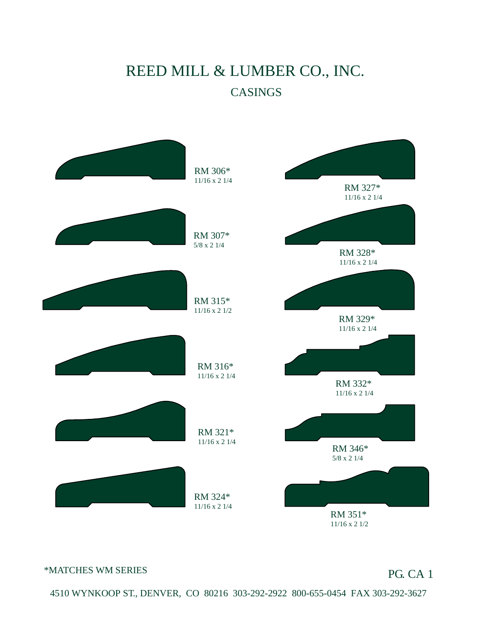

#### \*MATCHES WM SERIES

PG. CA 1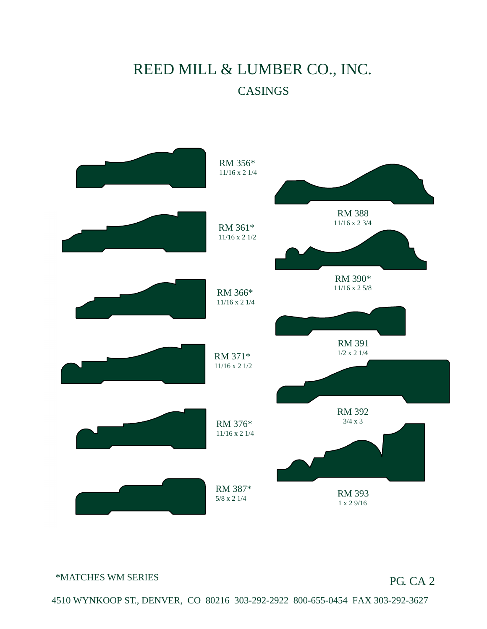

\*MATCHES WM SERIES

#### PG. CA 2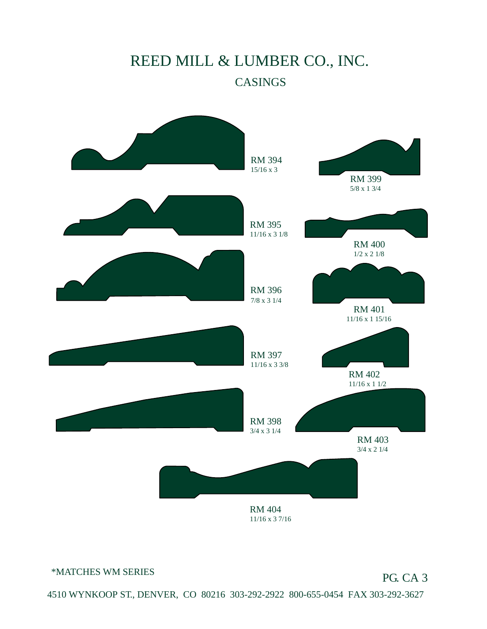

\*MATCHES WM SERIES

PG. CA 3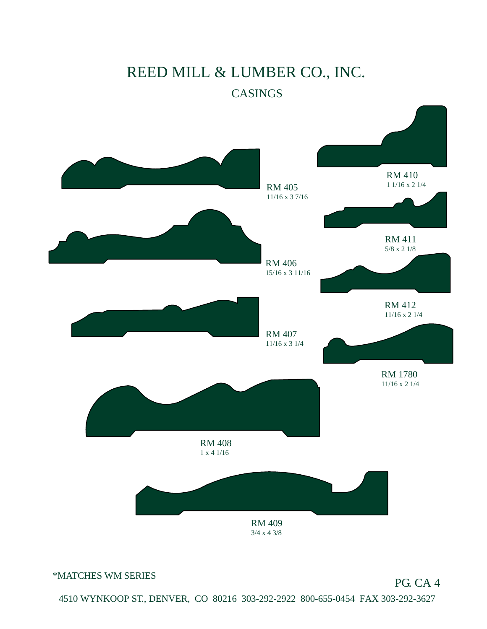

\*MATCHES WM SERIES

#### PG. CA 4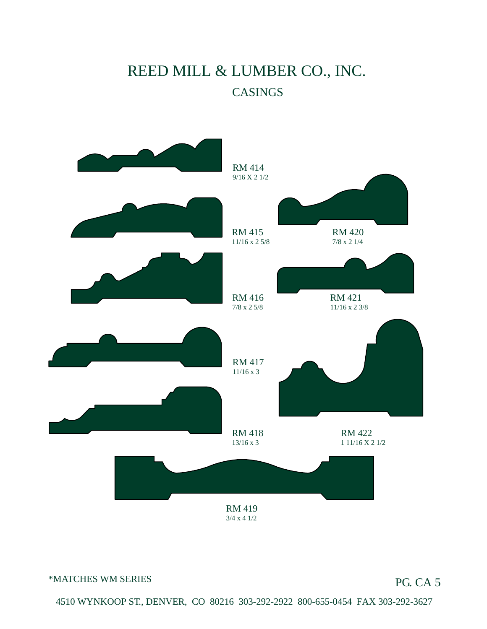

#### \*MATCHES WM SERIES

#### PG. CA 5

 $4510$  WWNKOOP ST., DENVER, CO, 80216, 202, 202, 2022, 800-655-0454, EAX 202, 202, 2627.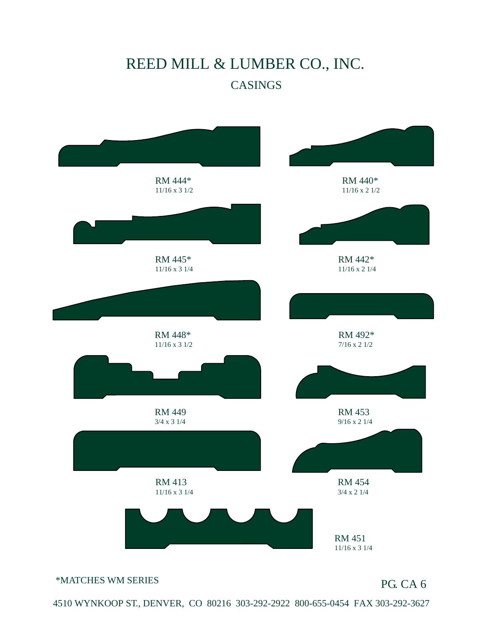

\*MATCHES WM SERIES

#### PG. CA 6

 $\frac{1510 \text{ W} \text{W} \text{W}}{1510 \text{ W}}$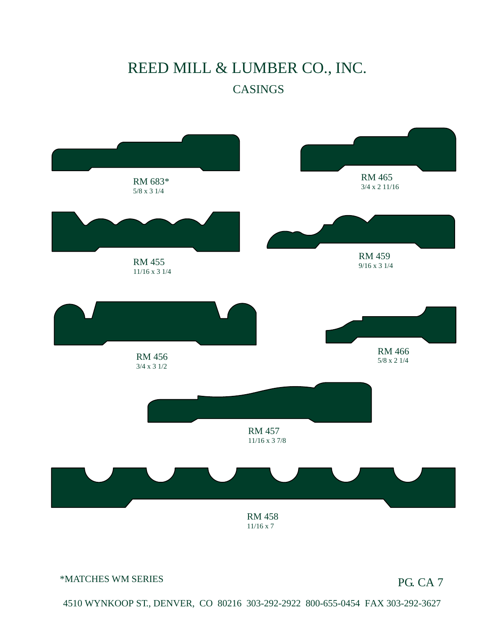

\*MATCHES WM SERIES

#### PG. CA 7

 $4510$  WWAWAOOD ST., DENVER, CO., 80316, 303-303-303-800-655-0454, EAM 303-363-263-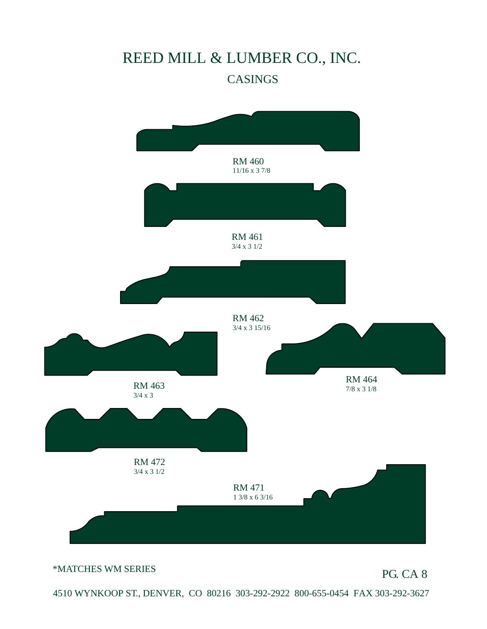

\*MATCHES WM SERIES

PG. CA 8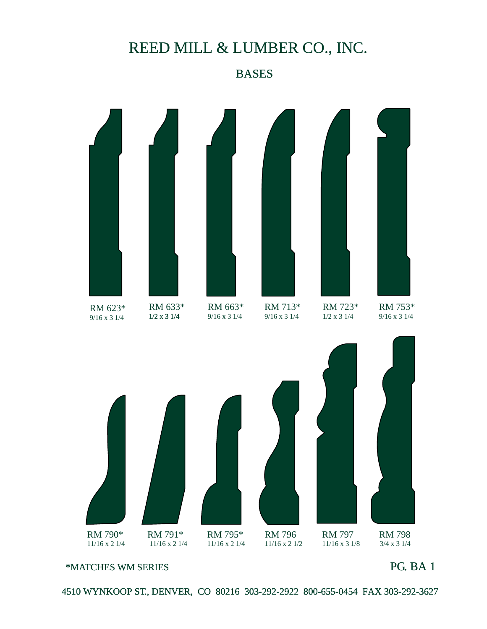#### **BASES**



\*MATCHES WM SERIES

PG. BA 1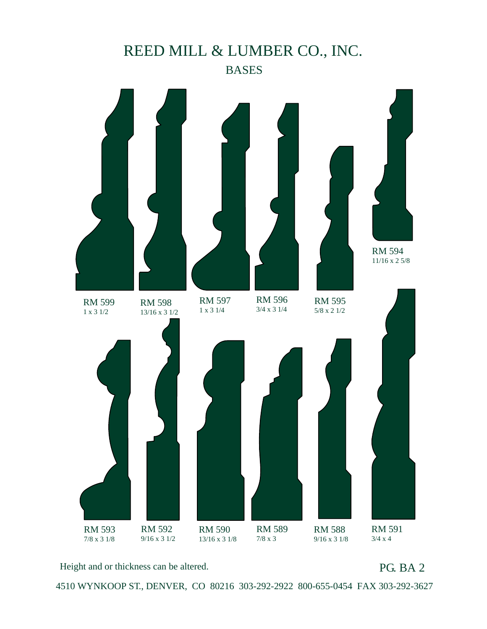

Height and or thickness can be altered.

#### PG. BA 2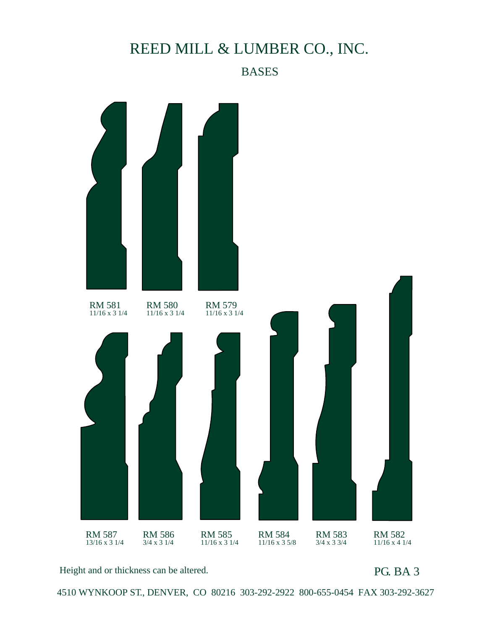#### BASES



Height and or thickness can be altered.

PG. BA 3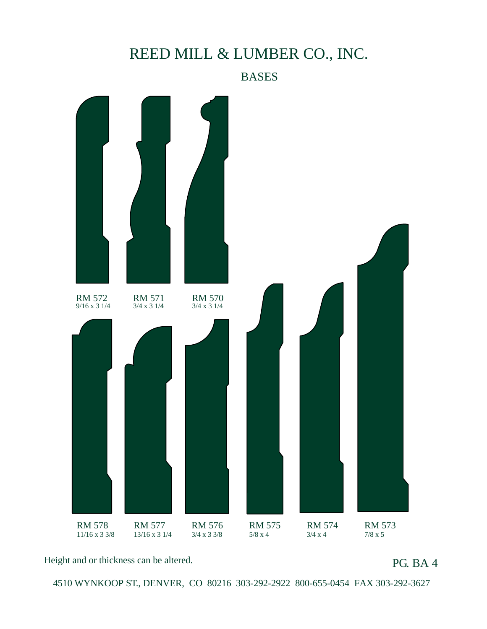#### **BASES**



Height and or thickness can be altered.

PG. BA 4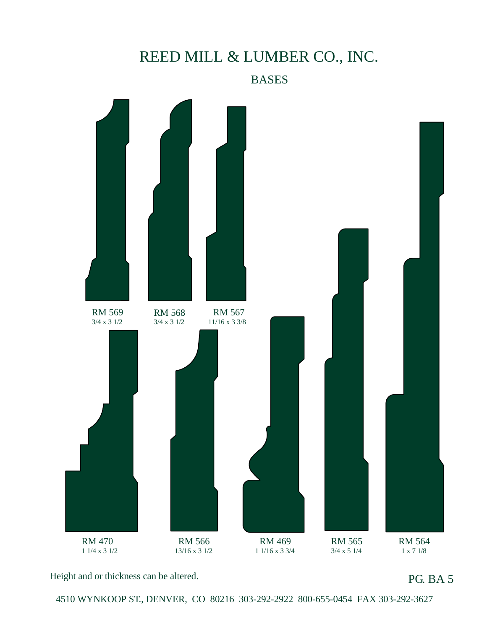#### **BASES**



Height and or thickness can be altered.

PG. BA 5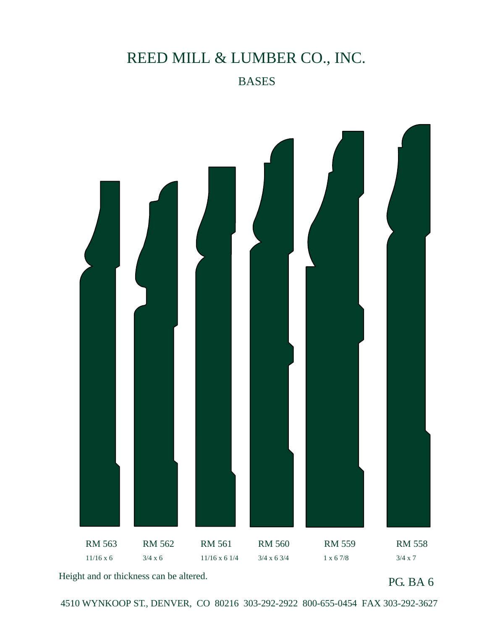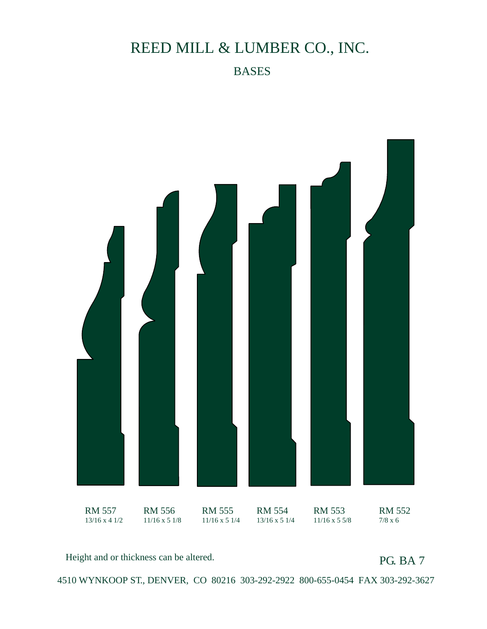

Height and or thickness can be altered.

PG. BA 7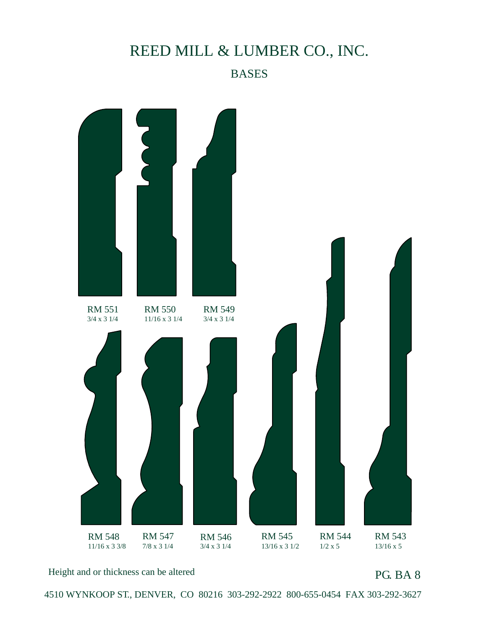# RM 551 3/4 x 3 1/4 RM 550 11/16 x 3 1/4 RM 549 3/4 x 3 1/4 RM 548 11/16 x 3 3/8 RM 547 7/8 x 3 1/4 RM 546 3/4 x 3 1/4 RM 545 13/16 x 3 1/2 RM 544 1/2 x 5 RM 543 13/16 x 5

Height and or thickness can be altered

PG. BA 8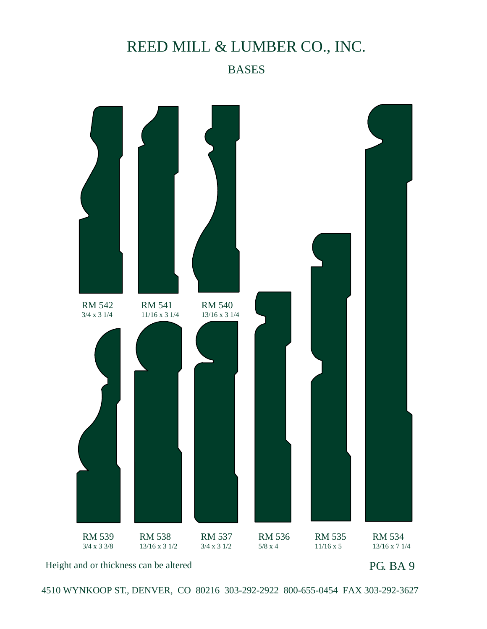#### BASES

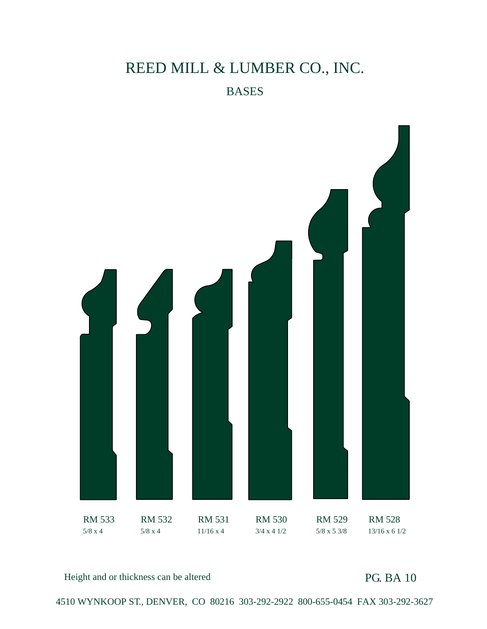

Height and or thickness can be altered

PG. BA 10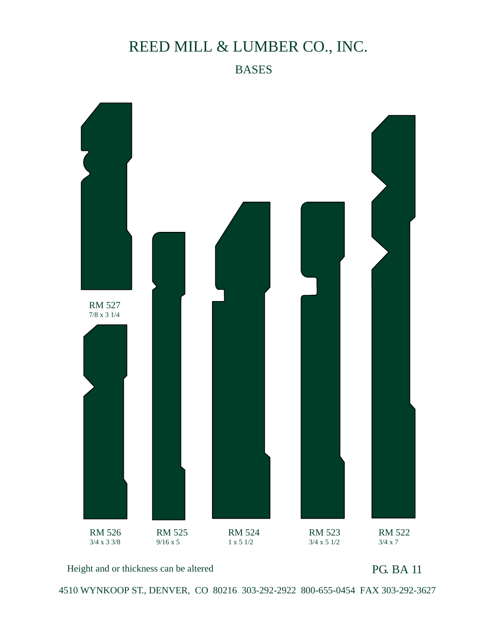

Height and or thickness can be altered

PG. BA 11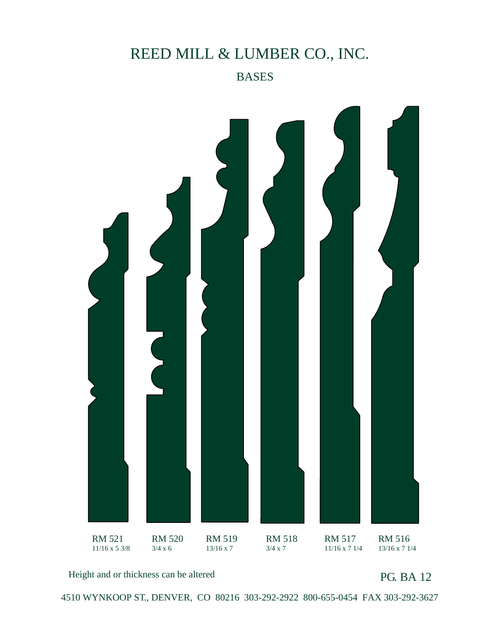#### BASES



Height and or thickness can be altered

PG. BA 12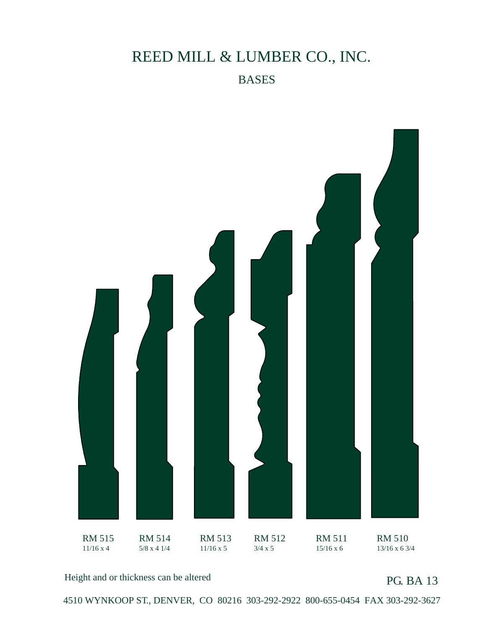

Height and or thickness can be altered

PG. BA 13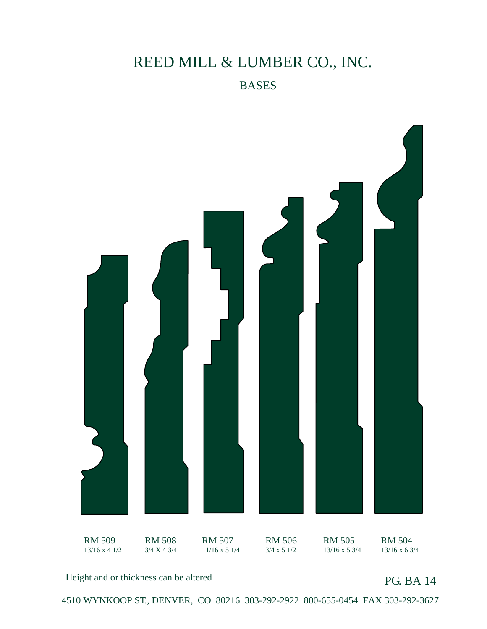

Height and or thickness can be altered

PG. BA 14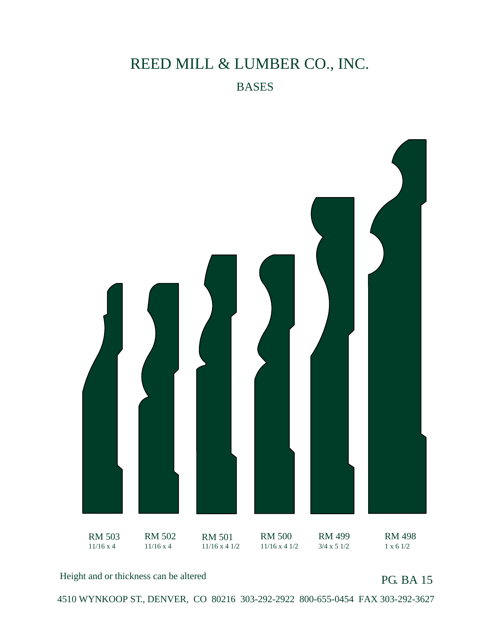

Height and or thickness can be altered

PG. BA 15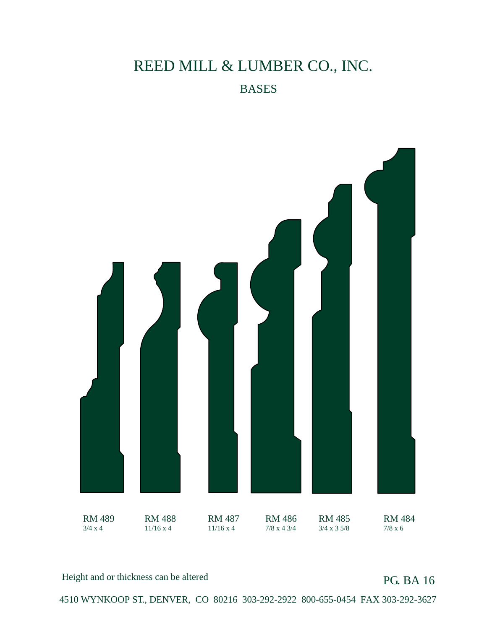

Height and or thickness can be altered

PG. BA 16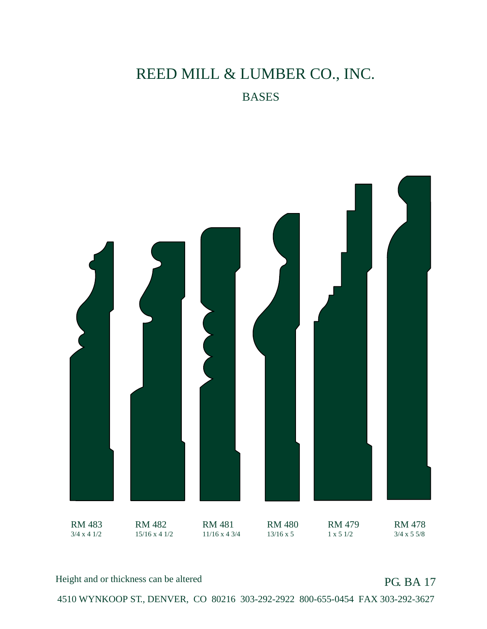

Height and or thickness can be altered

PG. BA 17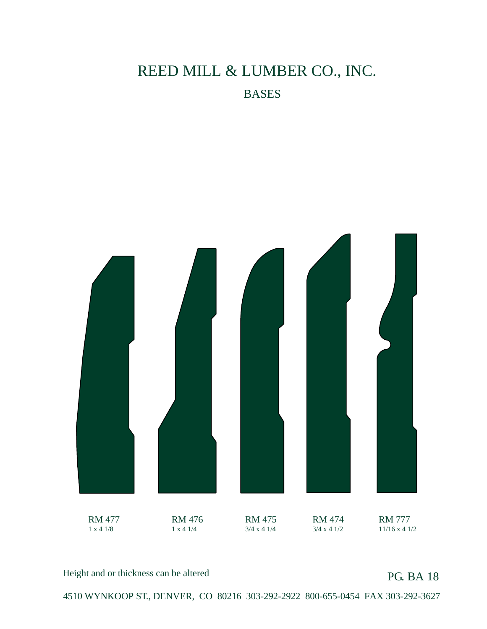

Height and or thickness can be altered

PG. BA 18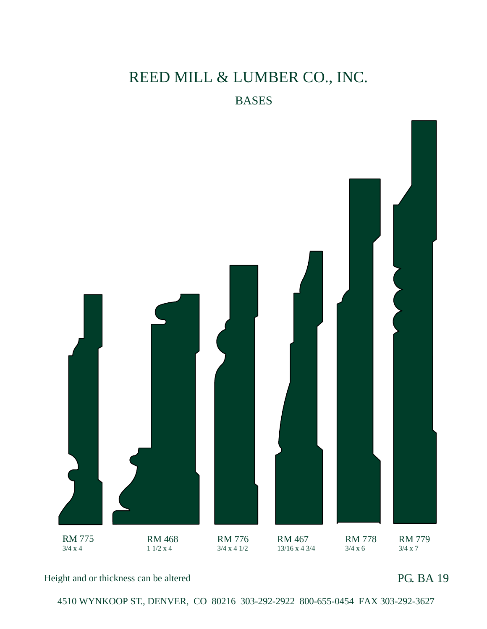

Height and or thickness can be altered

PG. BA 19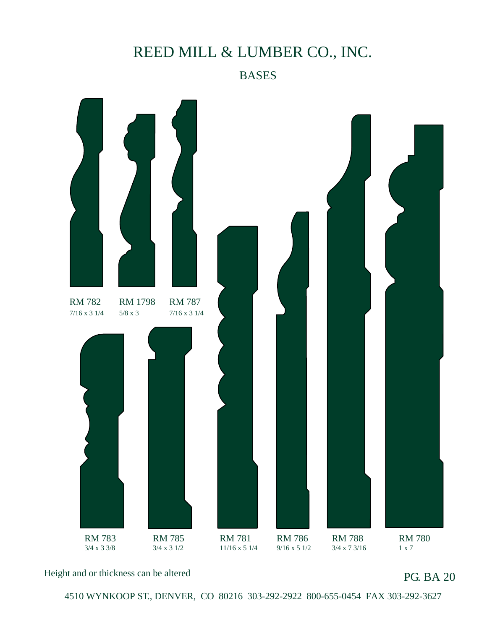BASES



Height and or thickness can be altered

PG. BA 20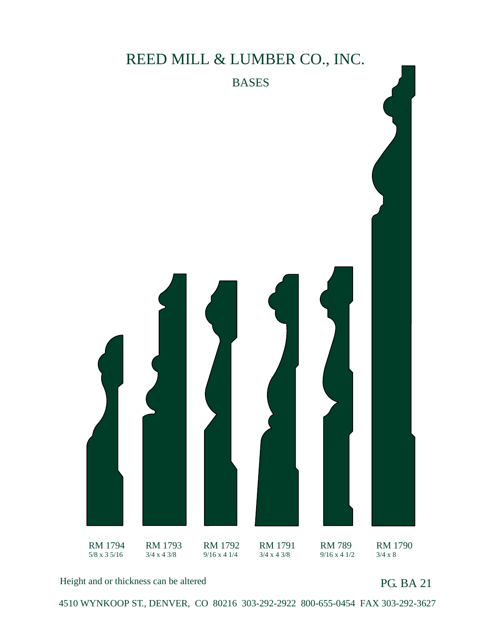#### BASES



Height and or thickness can be altered

PG. BA 21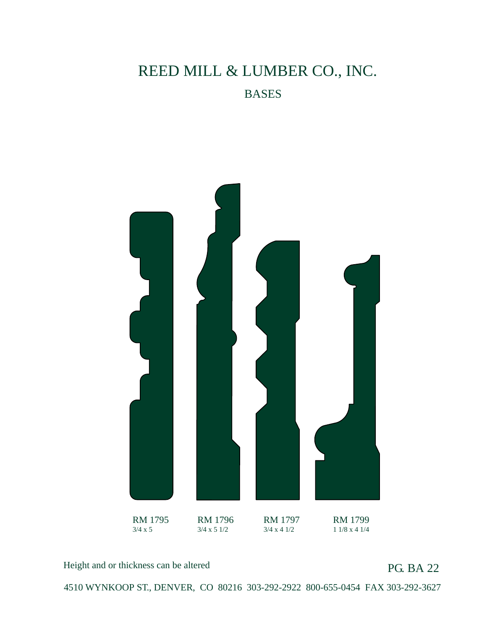

Height and or thickness can be altered

PG. BA 22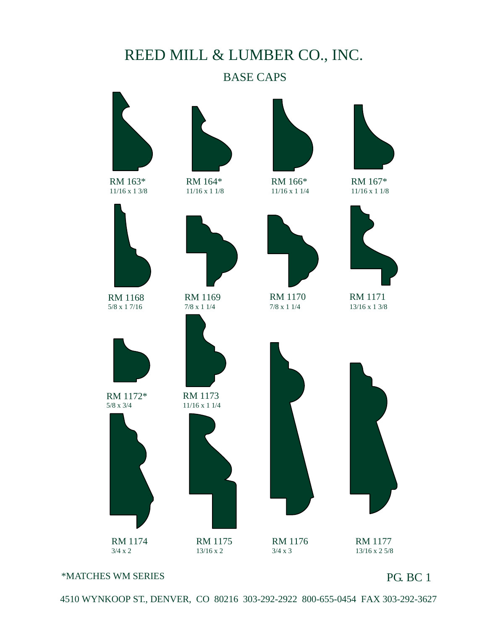#### BASE CAPS



RM 163\* 11/16 x 1 3/8



RM 164\* 11/16 x 1 1/8



RM 166\* 11/16 x 1 1/4

RM 1170 7/8 x 1 1/4



RM 167\* 11/16 x 1 1/8



RM 1168 5/8 x 1 7/16



RM 1172\* 5/8 x 3/4



RM 1174 3/4 x 2

RM 1169 7/8 x 1 1/4



RM 1173 11/16 x 1 1/4



RM 1175 13/16 x 2

RM 1176 3/4 x 3



RM 1171 13/16 x 1 3/8



RM 1177 13/16 x 2 5/8

#### \*MATCHES WM SERIES

#### PG. BC 1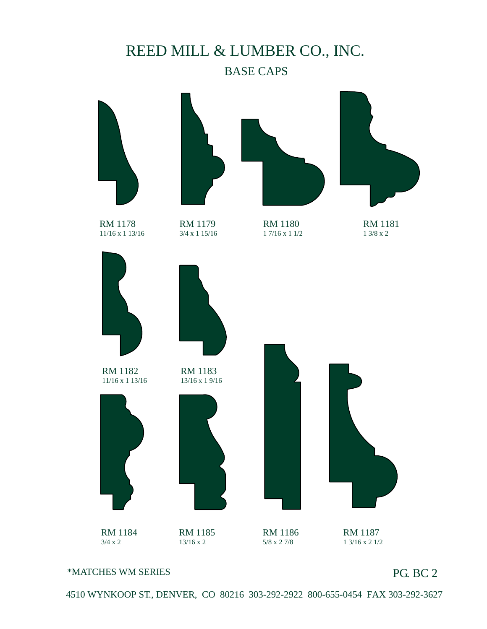### REED MILL & LUMBER CO., INC. BASE CAPS



RM 1178 11/16 x 1 13/16



RM 1179 3/4 x 1 15/16 RM 1180 1 7/16 x 1 1/2



RM 1181 1 3/8 x 2



#### \*MATCHES WM SERIES

#### PG. BC 2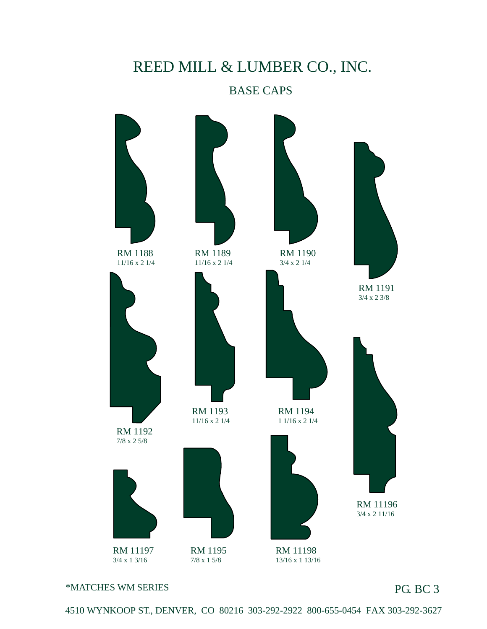#### BASE CAPS



\*MATCHES WM SERIES

PG. BC 3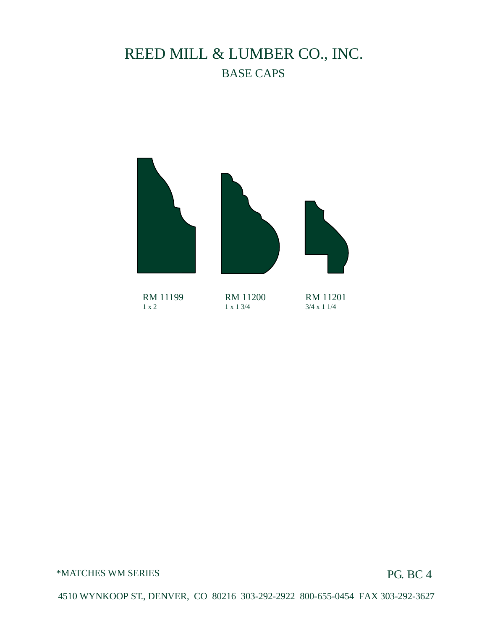### REED MILL & LUMBER CO., INC. BASE CAPS



RM 11199 1 x 2

RM 11200 1 x 1 3/4

RM 11201 3/4 x 1 1/4

\*MATCHES WM SERIES

PG. BC 4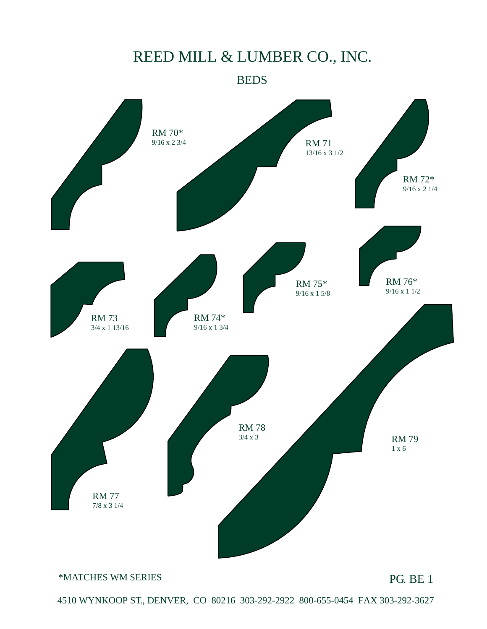**BEDS** 



#### \*MATCHES WM SERIES

PG. BE 1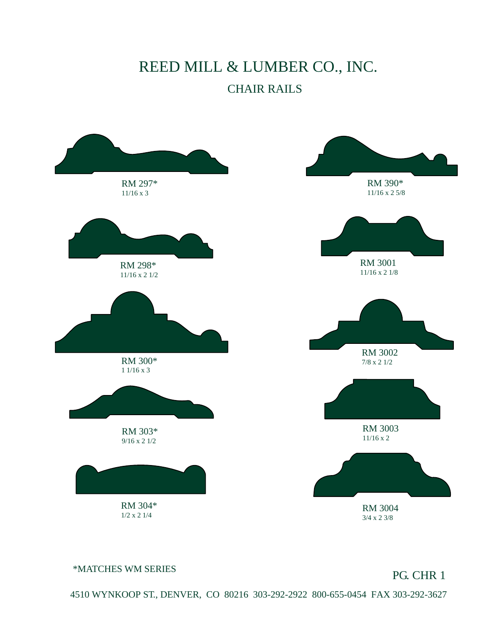#### CHAIR RAILS



\*MATCHES WM SERIES

PG. CHR 1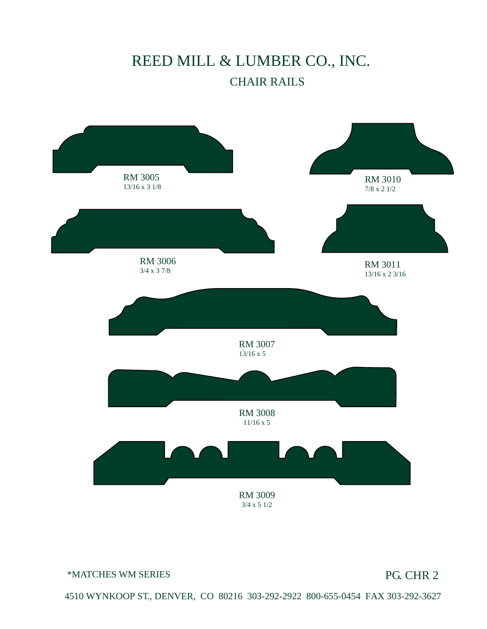## REED MILL & LUMBER CO., INC. CHAIR RAILS



\*MATCHES WM SERIES

PG. CHR 2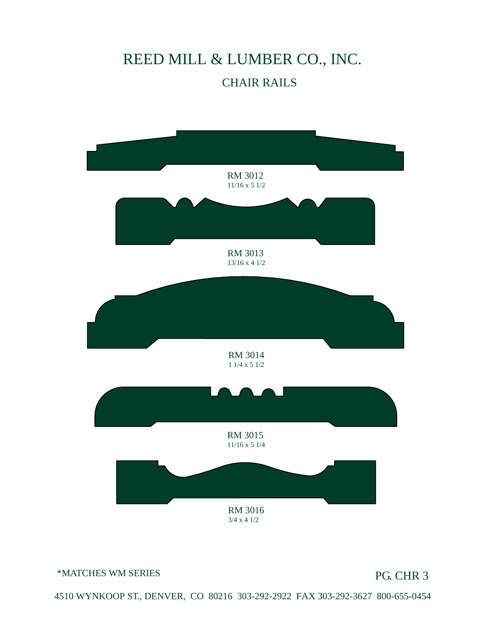## REED MILL & LUMBER CO., INC. CHAIR RAILS



\*MATCHES WM SERIES

PG. CHR 3

4510 WYNKOOP ST., DENVER, CO 80216 303-292-2922 FAX 303-292-3627 800-655-0454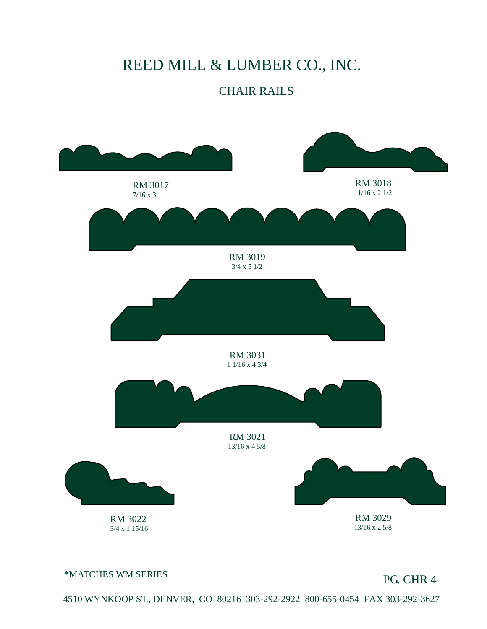#### CHAIR RAILS



\*MATCHES WM SERIES

PG. CHR 4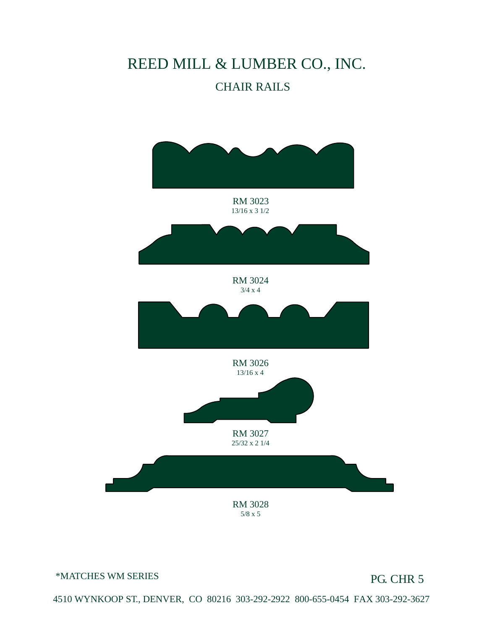#### CHAIR RAILS



\*MATCHES WM SERIES

PG. CHR 5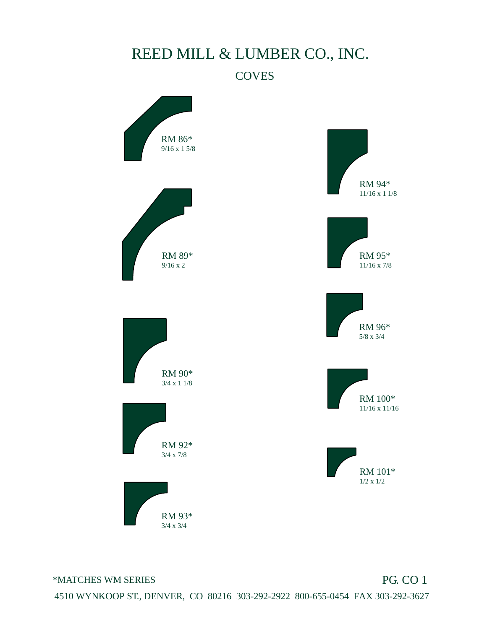

\*MATCHES WM SERIES

PG. CO 1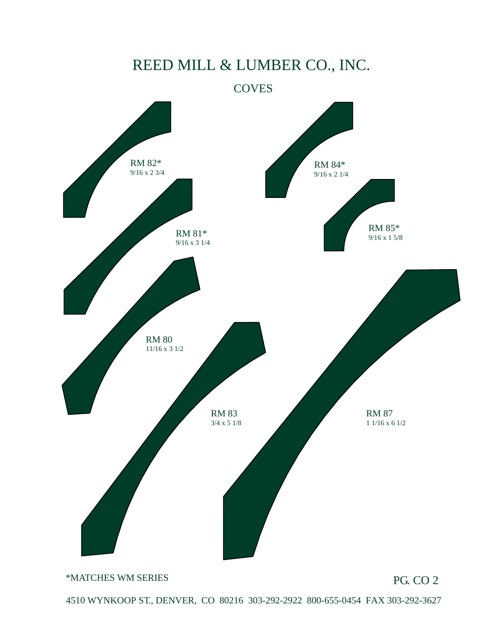

\*MATCHES WM SERIES

PG. CO 2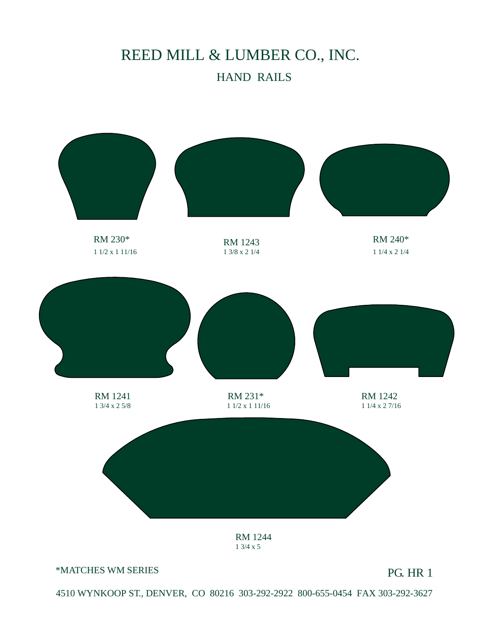## REED MILL & LUMBER CO., INC. HAND RAILS

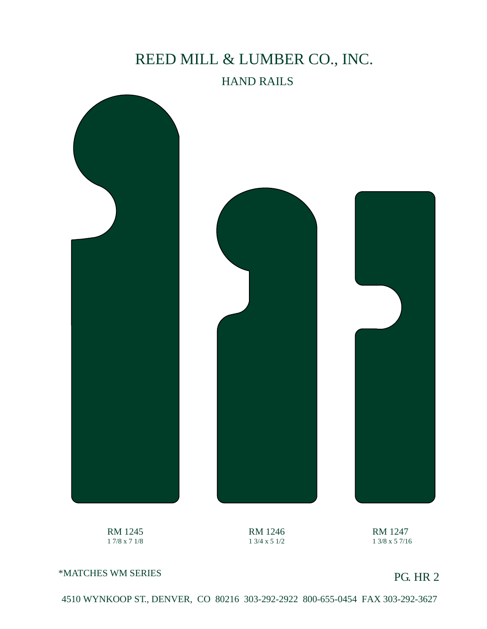#### HAND RAILS







RM 1245 1 7/8 x 7 1/8

RM 1246 1 3/4 x 5 1/2

RM 1247 1 3/8 x 5 7/16

\*MATCHES WM SERIES

PG. HR 2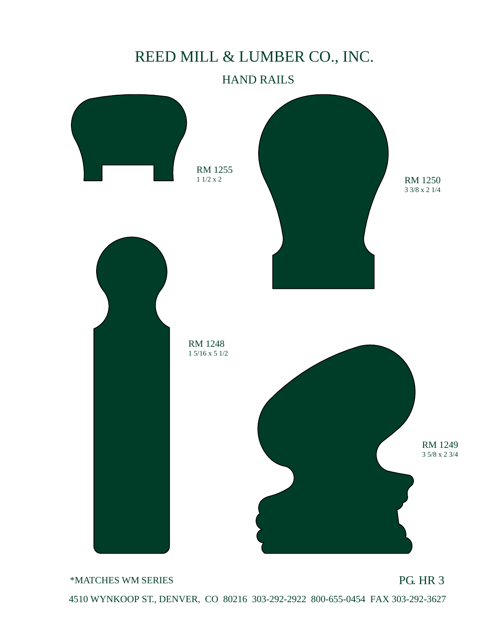#### HAND RAILS



\*MATCHES WM SERIES

PG. HR 3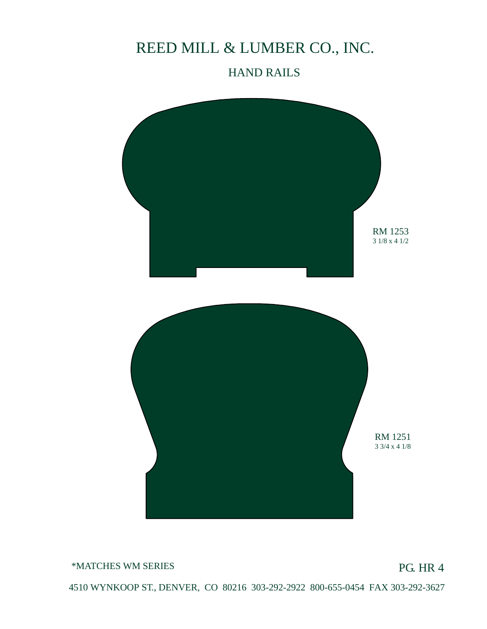#### HAND RAILS



\*MATCHES WM SERIES

PG. HR 4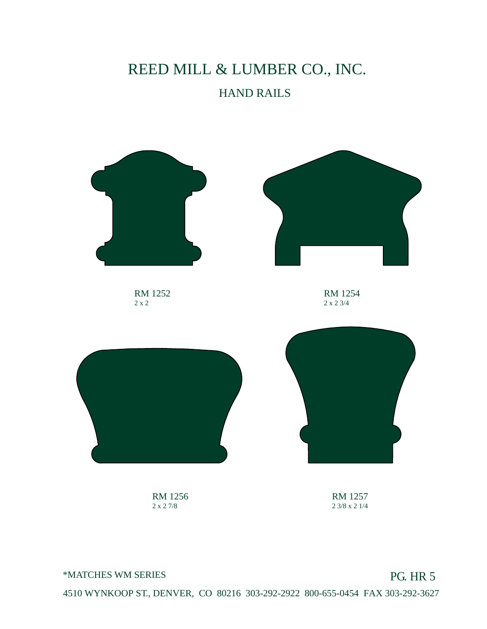## REED MILL & LUMBER CO., INC. HAND RAILS



RM 1256 2 x 2 7/8

RM 1257 2 3/8 x 2 1/4

#### \*MATCHES WM SERIES

#### PG. HR 5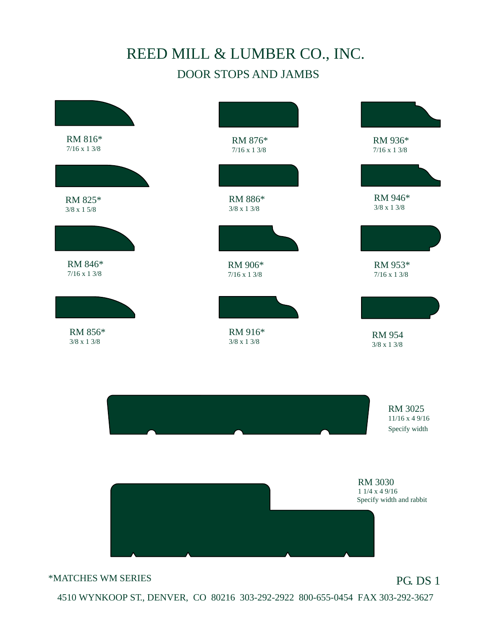### REED MILL & LUMBER CO., INC. DOOR STOPS AND JAMBS

| RM 816*<br>$7/16 \times 13/8$ | RM 876*<br>$7/16 \times 13/8$ | RM 936*<br>$7/16 \ge 1$ 3/8                                |
|-------------------------------|-------------------------------|------------------------------------------------------------|
| RM 825*<br>$3/8 \ge 1$ 5/8    | RM 886*<br>$3/8 \ge 13/8$     | RM 946*<br>$3/8$ x 1 $3/8$                                 |
| RM 846*<br>$7/16 \times 13/8$ | RM 906*<br>$7/16 \times 13/8$ | RM 953*<br>$7/16 \times 13/8$                              |
| RM 856*<br>$3/8 \ge 13/8$     | RM 916*<br>$3/8 \times 13/8$  | <b>RM 954</b><br>$3/8 \times 13/8$                         |
|                               |                               | RM 3025<br>$11/16$ x 4 9/16<br>Specify width               |
|                               |                               | <b>RM 3030</b><br>11/4 x 49/16<br>Specify width and rabbit |
|                               |                               |                                                            |
| *MATCHES WM SERIES            |                               | <b>PG. DS 1</b>                                            |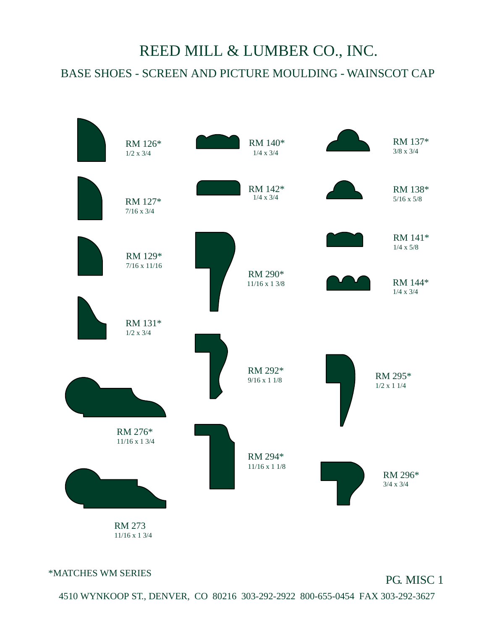## BASE SHOES - SCREEN AND PICTURE MOULDING - WAINSCOT CAP REED MILL & LUMBER CO., INC.



11/16 x 1 3/4

\*MATCHES WM SERIES

#### PG. MISC 1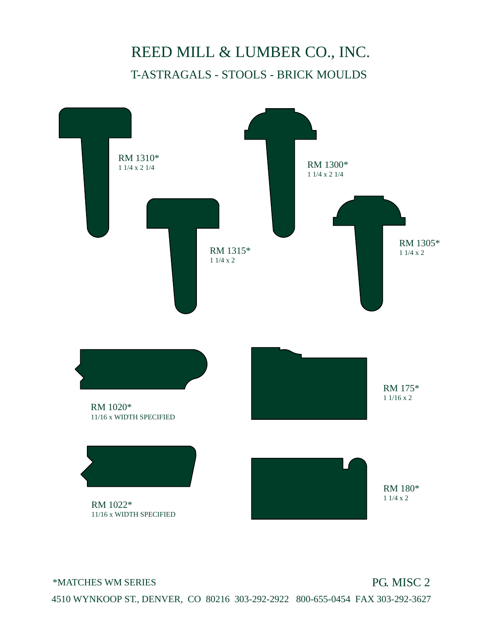### REED MILL & LUMBER CO., INC. T-ASTRAGALS - STOOLS - BRICK MOULDS



\*MATCHES WM SERIES

#### PG. MISC 2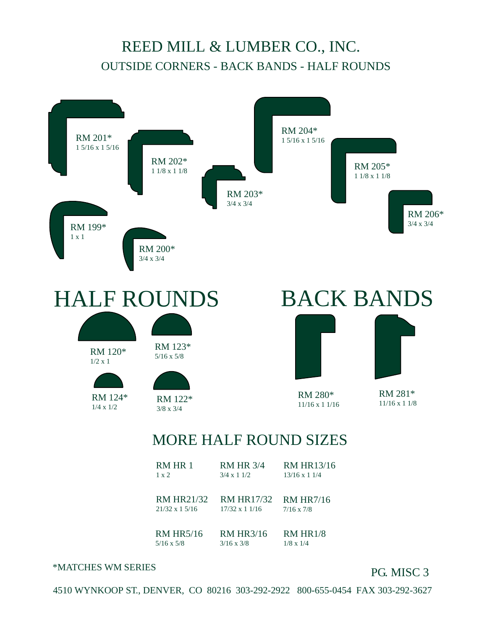#### REED MILL & LUMBER CO., INC. OUTSIDE CORNERS - BACK BANDS - HALF ROUNDS



RM HR7/16 7/16 x 7/8 RM HR17/32 17/32 x 1 1/16 RM HR21/32 21/32 x 1 5/16

RM HR3/16 3/16 x 3/8 RM HR1/8 1/8 x 1/4 RM HR5/16 5/16 x 5/8

#### \*MATCHES WM SERIES

#### PG. MISC 3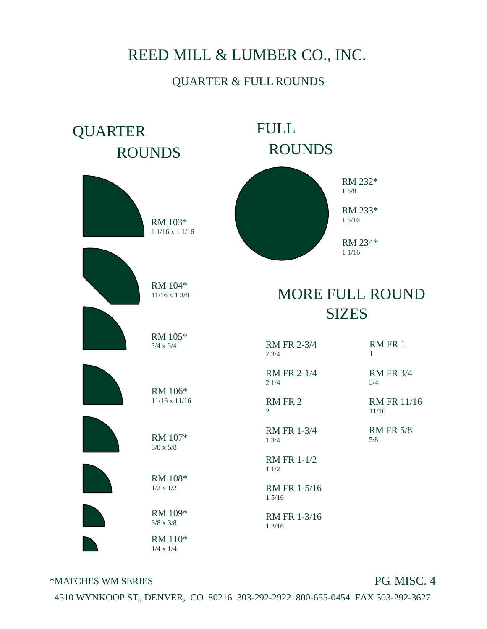#### QUARTER & FULL ROUNDS



\*MATCHES WM SERIES

#### PG. MISC. 4